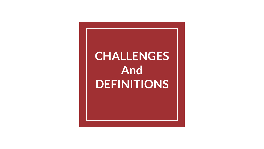# **CHALLENGES And DEFINITIONS**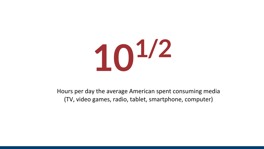

Hours per day the average American spent consuming media (TV, video games, radio, tablet, smartphone, computer)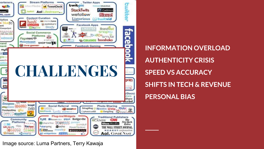

**INFORMATION OVERLOAD AUTHENTICITY CRISIS SPEED VS ACCURACY SHIFTS IN TECH & REVENUE PERSONAL BIAS**

Image source: Luma Partners, Terry Kawaja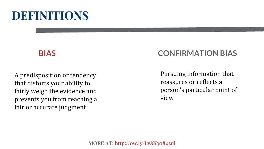#### **BIAS**

A predisposition or tendency that distorts your ability to fairly weigh the evidence and prevents you from reaching a fair or accurate judgment

### **CONFIRMATION BIAS**

Pursuing information that reassures or reflects a person's particular point of view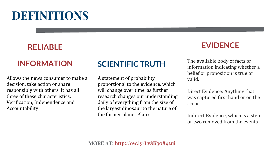## **RELIABLE**

### **INFORMATION**

Allows the news consumer to make a decision, take action or share responsibly with others. It has all three of these characteristics: Verification, Independence and Accountability

## **SCIENTIFIC TRUTH**

A statement of probability proportional to the evidence, which will change over time, as further research changes our understanding daily of everything from the size of the largest dinosaur to the nature of the former planet Pluto

### **EVIDENCE**

The available body of facts or information indicating whether a belief or proposition is true or valid.

Direct Evidence: Anything that was captured first hand or on the scene

Indirect Evidence, which is a step or two removed from the events.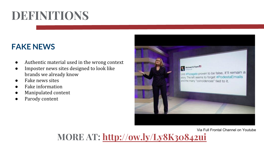### **FAKE NEWS**

- Authentic material used in the wrong context
- Imposter news sites designed to look like brands we already know
- **Fake news sites**
- **Fake information**
- Manipulated content
- Parody content



Via Full Frontal Channel on Youtube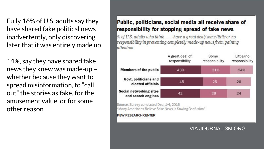Fully 16% of U.S. adults say they have shared fake political news inadvertently, only discovering later that it was entirely made up

14%, say they have shared fake news they knew was made-up – whether because they want to spread misinformation, to "call out" the stories as fake, for the amusement value, or for some other reason

#### Public, politicians, social media all receive share of responsibility for stopping spread of fake news

% of U.S. adults who think have a great deal/some/little or no responsibility in preventing completely made-up news from gaining attention



Source: Survey conducted Dec. 1-4, 2016. "Many Americans Believe Fake News Is Sowing Confusion"

#### **PEW RESEARCH CENTER**

#### VIA JOURNALISM.ORG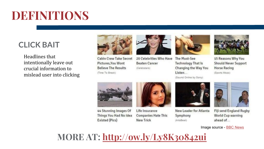## **CLICK BAIT**

Headlines that intentionally leave out crucial information to mislead user into clicking



**Cabin Crew Take Secret** Pictures, You Wont **Believe The Results** (Time To Break)



20 Celebrities Who Have **Beaten Cancer** (Celebstars)



The Must-See **Technology That Is** Changing the Way You Listen...

(Sound Online by Sony)



15 Reasons Why You **Should Never Support Horse Racing** (Sports Mozo)



44 Stunning Images Of Things You Had No Idea Existed (Pics)



Life Insurance **Companies Hate This New Trick** 



New Leader for Atlanta Symphony (ArtsBeat)



Fiji send England Rugby World Cup warning ahead of...

Image source - [BBC News](http://www.bbc.com/news/technology-36985662)